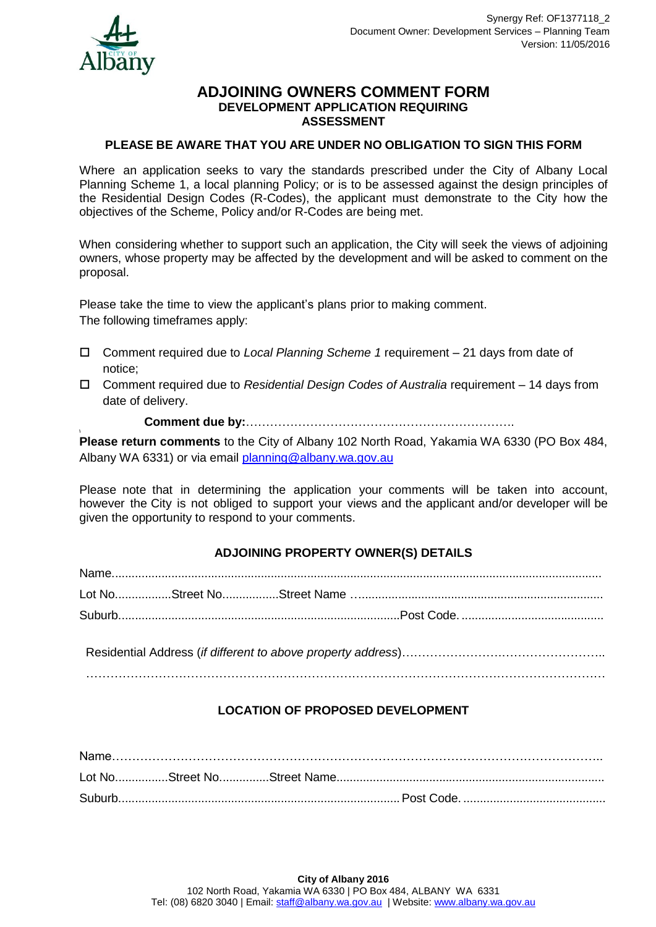

### **ADJOINING OWNERS COMMENT FORM DEVELOPMENT APPLICATION REQUIRING ASSESSMENT**

### **PLEASE BE AWARE THAT YOU ARE UNDER NO OBLIGATION TO SIGN THIS FORM**

Where an application seeks to vary the standards prescribed under the City of Albany Local Planning Scheme 1, a local planning Policy; or is to be assessed against the design principles of the Residential Design Codes (R-Codes), the applicant must demonstrate to the City how the objectives of the Scheme, Policy and/or R-Codes are being met.

When considering whether to support such an application, the City will seek the views of adjoining owners, whose property may be affected by the development and will be asked to comment on the proposal.

Please take the time to view the applicant's plans prior to making comment. The following timeframes apply:

- Comment required due to *Local Planning Scheme 1* requirement 21 days from date of notice;
- Comment required due to *Residential Design Codes of Australia* requirement 14 days from date of delivery.

**Comment due by:**………………………………………………………….

**\ Please return comments** to the City of Albany 102 North Road, Yakamia WA 6330 (PO Box 484, Albany WA 6331) or via email [planning@albany.wa.gov.au](mailto:planning@albany.wa.gov.au)

Please note that in determining the application your comments will be taken into account, however the City is not obliged to support your views and the applicant and/or developer will be given the opportunity to respond to your comments.

# **ADJOINING PROPERTY OWNER(S) DETAILS**

Residential Address (*if different to above property address*)…………………….…………………….. …………………………………………………………………………………………………………………

# **LOCATION OF PROPOSED DEVELOPMENT**